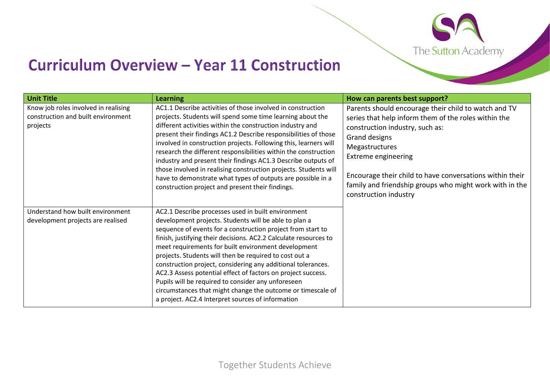

## **Curriculum Overview - Year 11 Construction**

| <b>Unit Title</b>                                                                      | <b>Learning</b>                                                                                                                                                                                                                                                                                                                                                                                                                                                                                                                                                                                                                                                           | How can parents best support?                                                                                                                                                                                                                                                                                                                                    |
|----------------------------------------------------------------------------------------|---------------------------------------------------------------------------------------------------------------------------------------------------------------------------------------------------------------------------------------------------------------------------------------------------------------------------------------------------------------------------------------------------------------------------------------------------------------------------------------------------------------------------------------------------------------------------------------------------------------------------------------------------------------------------|------------------------------------------------------------------------------------------------------------------------------------------------------------------------------------------------------------------------------------------------------------------------------------------------------------------------------------------------------------------|
| Know job roles involved in realising<br>construction and built environment<br>projects | AC1.1 Describe activities of those involved in construction<br>projects. Students will spend some time learning about the<br>different activities within the construction industry and<br>present their findings AC1.2 Describe responsibilities of those<br>involved in construction projects. Following this, learners will<br>research the different responsibilities within the construction<br>industry and present their findings AC1.3 Describe outputs of<br>those involved in realising construction projects. Students will<br>have to demonstrate what types of outputs are possible in a<br>construction project and present their findings.                  | Parents should encourage their child to watch and TV<br>series that help inform them of the roles within the<br>construction industry, such as:<br>Grand designs<br>Megastructures<br><b>Extreme engineering</b><br>Encourage their child to have conversations within their<br>family and friendship groups who might work with in the<br>construction industry |
| Understand how built environment<br>development projects are realised                  | AC2.1 Describe processes used in built environment<br>development projects. Students will be able to plan a<br>sequence of events for a construction project from start to<br>finish, justifying their decisions. AC2.2 Calculate resources to<br>meet requirements for built environment development<br>projects. Students will then be required to cost out a<br>construction project, considering any additional tolerances.<br>AC2.3 Assess potential effect of factors on project success.<br>Pupils will be required to consider any unforeseen<br>circumstances that might change the outcome or timescale of<br>a project. AC2.4 Interpret sources of information |                                                                                                                                                                                                                                                                                                                                                                  |